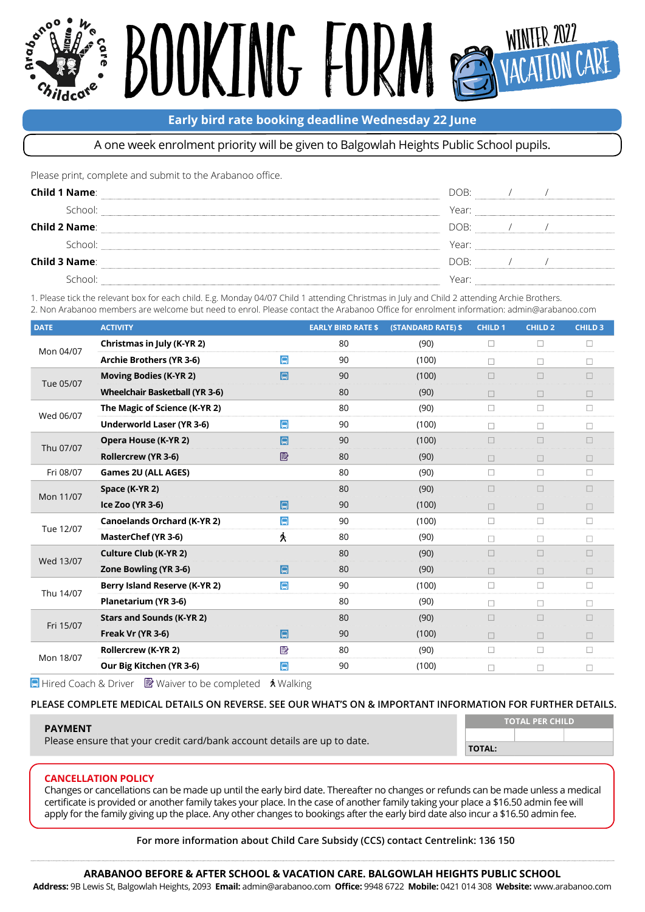## KING FO Winter 2022

#### **Early bird rate booking deadline Wednesday 22 June**

#### A one week enrolment priority will be given to Balgowlah Heights Public School pupils.

Please print, complete and submit to the Arabanoo office.

| <b>Child 1 Name:</b> | DOB:  |  |  |
|----------------------|-------|--|--|
| School:              | Year: |  |  |
| <b>Child 2 Name:</b> | DOB:  |  |  |
| School:              | Year: |  |  |
| <b>Child 3 Name:</b> | DOB:  |  |  |
| School:              | Year: |  |  |

1. Please tick the relevant box for each child. E.g. Monday 04/07 Child 1 attending Christmas in July and Child 2 attending Archie Brothers.

2. Non Arabanoo members are welcome but need to enrol. Please contact the Arabanoo Office for enrolment information: admin@arabanoo.com

| <b>DATE</b> | <b>ACTIVITY</b>                       |        | <b>EARLY BIRD RATE \$</b> | <b>(STANDARD RATE) \$</b> | <b>CHILD 1</b> | CHILD <sub>2</sub> | <b>CHILD 3</b> |
|-------------|---------------------------------------|--------|---------------------------|---------------------------|----------------|--------------------|----------------|
| Mon 04/07   | Christmas in July (K-YR 2)            |        | 80                        | (90)                      | $\Box$         | $\Box$             | □              |
|             | <b>Archie Brothers (YR 3-6)</b>       | $\Box$ | 90                        | (100)                     | $\Box$         | $\Box$             | $\Box$         |
| Tue 05/07   | <b>Moving Bodies (K-YR 2)</b>         | $\Box$ | 90                        | (100)                     | $\Box$         | $\Box$             | $\Box$         |
|             | <b>Wheelchair Basketball (YR 3-6)</b> |        | 80                        | (90)                      | П              | п                  | $\Box$         |
| Wed 06/07   | The Magic of Science (K-YR 2)         |        | 80                        | (90)                      | □              | $\Box$             | □              |
|             | <b>Underworld Laser (YR 3-6)</b>      | $\Box$ | 90                        | (100)                     | П              | П                  | $\Box$         |
| Thu 07/07   | Opera House (K-YR 2)                  | Q      | 90                        | (100)                     | П              | П                  | П              |
|             | Rollercrew (YR 3-6)                   | e      | 80                        | (90)                      | $\Box$         | п                  | $\Box$         |
| Fri 08/07   | Games 2U (ALL AGES)                   |        | 80                        | (90)                      | □              | $\Box$             | □              |
| Mon 11/07   | Space (K-YR 2)                        |        | 80                        | (90)                      | $\Box$         | п                  | $\Box$         |
|             | Ice Zoo (YR 3-6)                      | ləl    | 90                        | (100)                     | $\Box$         | $\Box$             | $\Box$         |
| Tue 12/07   | <b>Canoelands Orchard (K-YR 2)</b>    | $\Box$ | 90                        | (100)                     | $\Box$         | П                  | □              |
|             | MasterChef (YR 3-6)                   | 大      | 80                        | (90)                      | $\Box$         | $\Box$             | □              |
| Wed 13/07   | <b>Culture Club (K-YR 2)</b>          |        | 80                        | (90)                      |                |                    |                |
|             | Zone Bowling (YR 3-6)                 | 同      | 80                        | (90)                      | $\Box$         | П                  | $\Box$         |
| Thu 14/07   | Berry Island Reserve (K-YR 2)         | $\Box$ | 90                        | (100)                     | $\Box$         | $\Box$             | □              |
|             | Planetarium (YR 3-6)                  |        | 80                        | (90)                      | П              | П                  | п              |
| Fri 15/07   | <b>Stars and Sounds (K-YR 2)</b>      |        | 80                        | (90)                      | П              | п                  | П              |
|             | Freak Vr (YR 3-6)                     | E      | 90                        | (100)                     | $\Box$         | $\Box$             | $\Box$         |
| Mon 18/07   | <b>Rollercrew (K-YR 2)</b>            | e      | 80                        | (90)                      | $\Box$         | П                  | $\Box$         |
|             | Our Big Kitchen (YR 3-6)              | $\Box$ | 90                        | (100)                     | □              | П                  | □              |

**E** Hired Coach & Driver  $\triangleright$  Waiver to be completed  $\triangleright$  Walking

#### **PLEASE COMPLETE MEDICAL DETAILS ON REVERSE. SEE OUR WHAT'S ON & IMPORTANT INFORMATION FOR FURTHER DETAILS.**

| <b>PAYMENT</b><br>Please ensure that your credit card/bank account details are up to date. | <b>TOTAL PER CHILD</b> |  |  |  |
|--------------------------------------------------------------------------------------------|------------------------|--|--|--|
|                                                                                            |                        |  |  |  |
|                                                                                            | <b>TOTAL:</b>          |  |  |  |
|                                                                                            |                        |  |  |  |

#### **CANCELLATION POLICY**

Changes or cancellations can be made up until the early bird date. Thereafter no changes or refunds can be made unless a medical certifcate is provided or another family takes your place. In the case of another family taking your place a \$16.50 admin fee will apply for the family giving up the place. Any other changes to bookings after the early bird date also incur a \$16.50 admin fee.

**For more information about Child Care Subsidy (CCS) contact Centrelink: 136 150**

#### **ARABANOO BEFORE & AFTER SCHOOL & VACATION CARE. BALGOWLAH HEIGHTS PUBLIC SCHOOL**

Address: 9B Lewis St, Balgowlah Heights, 2093 Email: [admin@arabanoo.com](mailto:admin%40arabanoo.com?subject=) Office: 9948 6722 Mobile: 0421 014 308 Website: [www.arabanoo.com](http://www.arabanoo.com)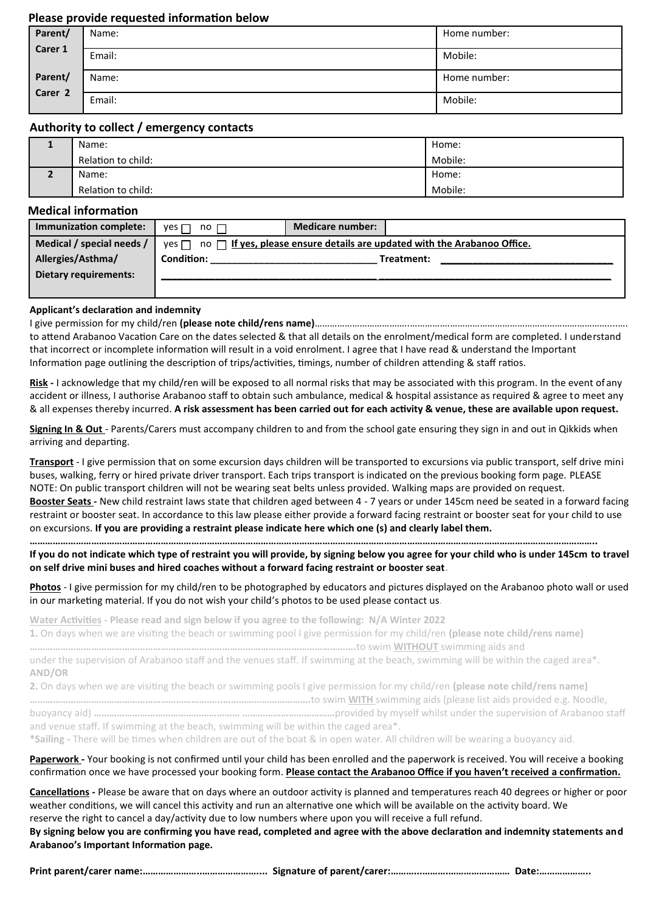#### **Please provide requested informaton below**

| Parent/                       | Name:  | Home number: |
|-------------------------------|--------|--------------|
| Carer 1                       | Email: | Mobile:      |
| Parent/<br>Carer <sub>2</sub> | Name:  | Home number: |
|                               | Email: | Mobile:      |

#### **Authority to collect / emergency contacts**

| Name:              | Home:   |
|--------------------|---------|
| Relation to child: | Mobile: |
| Name:              | Home:   |
| Relation to child: | Mobile: |

#### **Medical informaton**

| Immunization complete:    | yes l<br>$no$ $\Box$ | <b>Medicare number:</b>                                                                  |
|---------------------------|----------------------|------------------------------------------------------------------------------------------|
| Medical / special needs / |                      | yes $\Box$ no $\Box$ If yes, please ensure details are updated with the Arabanoo Office. |
| Allergies/Asthma/         | <b>Condition:</b>    | Treatment:                                                                               |
| Dietary requirements:     |                      |                                                                                          |
|                           |                      |                                                                                          |

#### **Applicant's declaraton and indemnity**

I give permission for my child/ren **(please note child/rens name)**………………………………..…………….………………………………………………………....…. to attend Arabanoo Vacation Care on the dates selected & that all details on the enrolment/medical form are completed. I understand that incorrect or incomplete information will result in a void enrolment. I agree that I have read & understand the Important Information page outlining the description of trips/activities, timings, number of children attending & staff ratios.

**Risk -** I acknowledge that my child/ren will be exposed to all normal risks that may be associated with this program. In the event of any accident or illness, I authorise Arabanoo staff to obtain such ambulance, medical & hospital assistance as required & agree to meet any & all expenses thereby incurred. **A risk assessment has been carried out for each actvity & venue, these are available upon request.**

**Signing In & Out** - Parents/Carers must accompany children to and from the school gate ensuring they sign in and out in Qikkids when arriving and departing.

**Transport** - I give permission that on some excursion days children will be transported to excursions via public transport, self drive mini buses, walking, ferry or hired private driver transport. Each trips transport is indicated on the previous booking form page. PLEASE NOTE: On public transport children will not be wearing seat belts unless provided. Walking maps are provided on request. **Booster Seats -** New child restraint laws state that children aged between 4 - 7 years or under 145cm need be seated in a forward facing restraint or booster seat. In accordance to this law please either provide a forward facing restraint or booster seat for your child to use on excursions. **If you are providing a restraint please indicate here which one (s) and clearly label them.** 

**…………………………………………………………………………………………………………………………………………………………………………………………………..**

**If you do not indicate which type of restraint you will provide, by signing below you agree for your child who is under 145cm to travel on self drive mini buses and hired coaches without a forward facing restraint or booster seat.**

**Photos** - I give permission for my child/ren to be photographed by educators and pictures displayed on the Arabanoo photo wall or used in our marketing material. If you do not wish your child's photos to be used please contact us.

**Water Actvites - Please read and sign below if you agree to the following: N/A Winter 2022**

**1.** On days when we are visitng the beach or swimming pool I give permission for my child/ren **(please note child/rens name)**

**……………………………………………………………………………………………………………….**to swim **WITHOUT** swimming aids and

under the supervision of Arabanoo staff and the venues staff. If swimming at the beach, swimming will be within the caged area\*. **AND/OR**

**2.** On days when we are visitng the beach or swimming pools I give permission for my child/ren **(please note child/rens name)** 

**………………………………………………………………...…………………………….**to swim **WITH** swimming aids (please list aids provided e.g. Noodle,

buoyancy aid) **………………………………………………… ………………………………**provided by myself whilst under the supervision of Arabanoo staf and venue staff. If swimming at the beach, swimming will be within the caged area\*.

**\*Sailing -** There will be tmes when children are out of the boat & in open water. All children will be wearing a buoyancy aid.

#### Paperwork - Your booking is not confirmed until your child has been enrolled and the paperwork is received. You will receive a booking confirmation once we have processed your booking form. Please contact the Arabanoo Office if you haven't received a confirmation.

**Cancellatons -** Please be aware that on days where an outdoor actvity is planned and temperatures reach 40 degrees or higher or poor weather conditions, we will cancel this activity and run an alternative one which will be available on the activity board. We reserve the right to cancel a day/activity due to low numbers where upon you will receive a full refund.

#### **By signing below you are confrming you have read, completed and agree with the above declaraton and indemnity statements and Arabanoo's Important Informaton page.**

**Print parent/carer name:…………………..………………….... Signature of parent/carer:………...……….…………………… Date:………………..**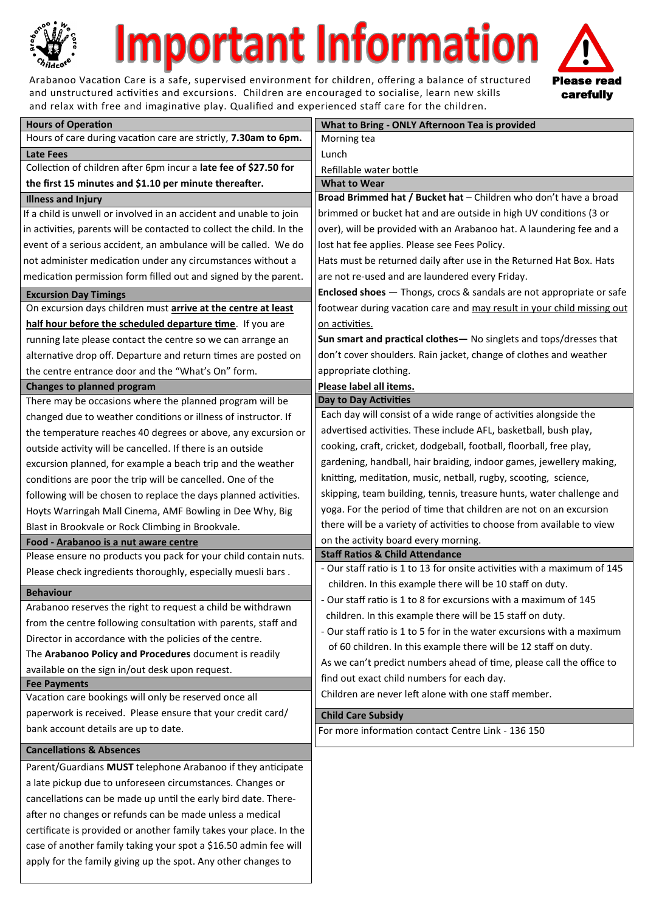

# mportant Information

Arabanoo Vacation Care is a safe, supervised environment for children, offering a balance of structured and unstructured activities and excursions. Children are encouraged to socialise, learn new skills and relax with free and imaginative play. Qualified and experienced staff care for the children.



| <b>Hours of Operation</b>                                                       | What to Bring - ONLY Afternoon Tea is provided                                  |
|---------------------------------------------------------------------------------|---------------------------------------------------------------------------------|
| Hours of care during vacation care are strictly, 7.30am to 6pm.                 | Morning tea                                                                     |
| <b>Late Fees</b>                                                                | Lunch                                                                           |
| Collection of children after 6pm incur a late fee of \$27.50 for                | Refillable water bottle                                                         |
| the first 15 minutes and \$1.10 per minute thereafter.                          | <b>What to Wear</b>                                                             |
| <b>Illness and Injury</b>                                                       | Broad Brimmed hat / Bucket hat - Children who don't have a broad                |
| If a child is unwell or involved in an accident and unable to join              | brimmed or bucket hat and are outside in high UV conditions (3 or               |
| in activities, parents will be contacted to collect the child. In the           | over), will be provided with an Arabanoo hat. A laundering fee and a            |
| event of a serious accident, an ambulance will be called. We do                 | lost hat fee applies. Please see Fees Policy.                                   |
| not administer medication under any circumstances without a                     | Hats must be returned daily after use in the Returned Hat Box. Hats             |
| medication permission form filled out and signed by the parent.                 | are not re-used and are laundered every Friday.                                 |
| <b>Excursion Day Timings</b>                                                    | <b>Enclosed shoes</b> - Thongs, crocs & sandals are not appropriate or safe     |
| On excursion days children must arrive at the centre at least                   | footwear during vacation care and may result in your child missing out          |
| half hour before the scheduled departure time. If you are                       | on activities.                                                                  |
| running late please contact the centre so we can arrange an                     | Sun smart and practical clothes - No singlets and tops/dresses that             |
| alternative drop off. Departure and return times are posted on                  | don't cover shoulders. Rain jacket, change of clothes and weather               |
| the centre entrance door and the "What's On" form.                              | appropriate clothing.                                                           |
| <b>Changes to planned program</b>                                               | Please label all items.                                                         |
| There may be occasions where the planned program will be                        | <b>Day to Day Activities</b>                                                    |
| changed due to weather conditions or illness of instructor. If                  | Each day will consist of a wide range of activities alongside the               |
| the temperature reaches 40 degrees or above, any excursion or                   | advertised activities. These include AFL, basketball, bush play,                |
| outside activity will be cancelled. If there is an outside                      | cooking, craft, cricket, dodgeball, football, floorball, free play,             |
| excursion planned, for example a beach trip and the weather                     | gardening, handball, hair braiding, indoor games, jewellery making,             |
| conditions are poor the trip will be cancelled. One of the                      | knitting, meditation, music, netball, rugby, scooting, science,                 |
| following will be chosen to replace the days planned activities.                | skipping, team building, tennis, treasure hunts, water challenge and            |
| Hoyts Warringah Mall Cinema, AMF Bowling in Dee Why, Big                        | yoga. For the period of time that children are not on an excursion              |
| Blast in Brookvale or Rock Climbing in Brookvale.                               | there will be a variety of activities to choose from available to view          |
| Food - Arabanoo is a nut aware centre                                           | on the activity board every morning.                                            |
| Please ensure no products you pack for your child contain nuts.                 | <b>Staff Ratios &amp; Child Attendance</b>                                      |
| Please check ingredients thoroughly, especially muesli bars.                    | - Our staff ratio is 1 to 13 for onsite activities with a maximum of 145        |
|                                                                                 | children. In this example there will be 10 staff on duty.                       |
| <b>Behaviour</b><br>Arabanoo reserves the right to request a child be withdrawn | - Our staff ratio is 1 to 8 for excursions with a maximum of 145                |
| from the centre following consultation with parents, staff and                  | children. In this example there will be 15 staff on duty.                       |
| Director in accordance with the policies of the centre.                         | - Our staff ratio is 1 to 5 for in the water excursions with a maximum          |
|                                                                                 | of 60 children. In this example there will be 12 staff on duty.                 |
| The Arabanoo Policy and Procedures document is readily                          | As we can't predict numbers ahead of time, please call the office to            |
| available on the sign in/out desk upon request.<br><b>Fee Payments</b>          | find out exact child numbers for each day.                                      |
| Vacation care bookings will only be reserved once all                           | Children are never left alone with one staff member.                            |
| paperwork is received. Please ensure that your credit card/                     |                                                                                 |
| bank account details are up to date.                                            | <b>Child Care Subsidy</b><br>For more information contact Centre Link - 136 150 |
|                                                                                 |                                                                                 |
| <b>Cancellations &amp; Absences</b>                                             |                                                                                 |
| Parent/Guardians MUST telephone Arabanoo if they anticipate                     |                                                                                 |
| a late pickup due to unforeseen circumstances. Changes or                       |                                                                                 |
| cancellations can be made up until the early bird date. There-                  |                                                                                 |
| after no changes or refunds can be made unless a medical                        |                                                                                 |
| certificate is provided or another family takes your place. In the              |                                                                                 |
| case of another family taking your spot a \$16.50 admin fee will                |                                                                                 |
| apply for the family giving up the spot. Any other changes to                   |                                                                                 |